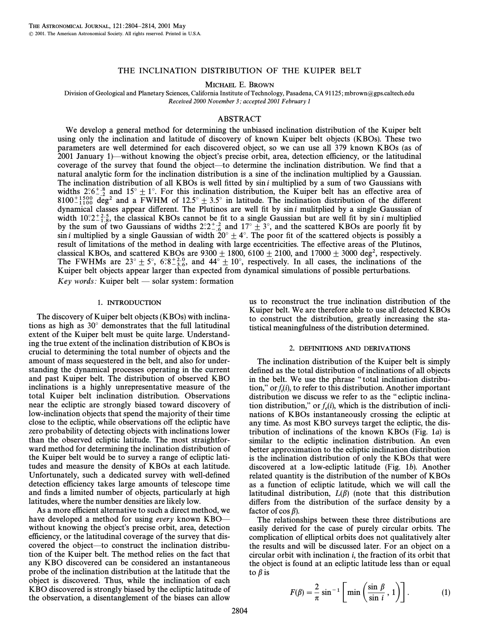# THE INCLINATION DISTRIBUTION OF THE KUIPER BELT

MICHAEL E. BROWN

Division of Geological and Planetary Sciences, California Institute of Technology, Pasadena, CA 91125; mbrown@gps.caltech.edu Received 2000 November 3; accepted 2001 February 1

# ABSTRACT

We develop a general method for determining the unbiased inclination distribution of the Kuiper belt using only the inclination and latitude of discovery of known Kuiper belt objects (KBOs). These two parameters are well determined for each discovered object, so we can use all 379 known KBOs (as of 2001 January 1)—without knowing the object's precise orbit, area, detection efficiency, or the latitudinal coverage of the survey that found the object—to determine the inclination distribution. We find that a natural analytic form for the inclination distribution is a sine of the inclination multiplied by a Gaussian. The inclination distribution of all KBOs is well fitted by  $\sin i$  multiplied by a sum of two Gaussians with widths  $2.6^{+.8}_{-.2}$  and  $15^{\circ} \pm 1^{\circ}$ . For this inclination distribution, the Kuiper belt has an effective area of 8100<sup>+1500</sup> deg<sup>2</sup> and a FWHM of 12.5°  $\pm$  3.5° in latitude. The inclination distribution of the different dynamical classes appear different. The Plutinos are well fit by  $\sin i$  mulitplied by a single Gaussian of width  $10^{\circ}2^{+2.5}_{-1.8}$ , the classical KBOs cannot be fit to a single Gaussian but are well fit by sin i multiplied by the sum of two Gaussians of widths  $2^{\circ}2^{+2}$  and  $17^{\circ}+3^{\circ}$  and the scattered KBOs are poorl by the sum of two Gaussians of widths  $2.2^{+2.6}_{-6.6}$  and  $17^{\circ} \pm 3^{\circ}$ , and the scattered KBOs are poorly fit by  $\sin i$  multiplied by a single Gaussian of width  $20^{\circ} \pm 4^{\circ}$ . The poor fit of the scattered objects sin *i* multiplied by a single Gaussian of width  $20^\circ \pm 4^\circ$ . The poor fit of the scattered objects is possibly a result of limitations of the method in dealing with large eccentricities. The e†ective areas of the Plutinos, classical KBOs, and scattered KBOs are  $9300 \pm 1800$ , 6100  $\pm$  2100, and 17000  $\pm$  3000 deg<sup>2</sup>, respectively. The FWHMs are  $23^{\circ} \pm 5^{\circ}$ ,  $6^{\circ}8^{+3^{\circ}6}_{-3.6}$ , and  $44^{\circ} \pm 10^{\circ}$ , respectively. In all cases, the inclinations of the Kuiper belt objects appear larger than expected from dynamical simulations of possible per

 $Key words: Kuiper belt \longrightarrow solar system: formation$ 

## 1. INTRODUCTION

The discovery of Kuiper belt objects (KBOs) with inclinations as high as  $30^\circ$  demonstrates that the full latitudinal extent of the Kuiper belt must be quite large. Understanding the true extent of the inclination distribution of KBOs is crucial to determining the total number of objects and the amount of mass sequestered in the belt, and also for understanding the dynamical processes operating in the current and past Kuiper belt. The distribution of observed KBO inclinations is a highly unrepresentative measure of the total Kuiper belt inclination distribution. Observations near the ecliptic are strongly biased toward discovery of low-inclination objects that spend the majority of their time close to the ecliptic, while observations off the ecliptic have zero probability of detecting objects with inclinations lower than the observed ecliptic latitude. The most straightforward method for determining the inclination distribution of the Kuiper belt would be to survey a range of ecliptic latitudes and measure the density of KBOs at each latitude. Unfortunately, such a dedicated survey with well-defined detection efficiency takes large amounts of telescope time and finds a limited number of objects, particularly at high latitudes, where the number densities are likely low.

As a more efficient alternative to such a direct method, we have developed a method for using every known  $KBO$  without knowing the object's precise orbit, area, detection efficiency, or the latitudinal coverage of the survey that discovered the object—to construct the inclination distribution of the Kuiper belt. The method relies on the fact that any KBO discovered can be considered an instantaneous probe of the inclination distribution at the latitude that the object is discovered. Thus, while the inclination of each KBO discovered is strongly biased by the ecliptic latitude of the observation, a disentanglement of the biases can allow us to reconstruct the true inclination distribution of the Kuiper belt. We are therefore able to use all detected KBOs to construct the distribution, greatly increasing the statistical meaningfulness of the distribution determined.

## 2. DEFINITIONS AND DERIVATIONS

The inclination distribution of the Kuiper belt is simply defined as the total distribution of inclinations of all objects in the belt. We use the phrase "total inclination distribution," or  $f_t(i)$ , to refer to this distribution. Another important  $\det$ ,  $\det_{f_t}(t)$ , we first to this distribution. The end in equation is distribution we discuss we refer to as the "ecliptic inclination distribution," or  $f_e(i)$ , which is the distribution of inclinations of KBOs instantaneously crossing the ecliptic at any time. As most KBO surveys target the ecliptic, the distribution of inclinations of the known KBOs (Fig. 1a) is similar to the ecliptic inclination distribution. An even better approximation to the ecliptic inclination distribution is the inclination distribution of only the KBOs that were discovered at a low-ecliptic latitude (Fig. 1b). Another related quantity is the distribution of the number of KBOs as a function of ecliptic latitude, which we will call the latitudinal distribution,  $L(\beta)$  (note that this distribution differs from the distribution of the surface density by a factor of  $\cos \beta$ ).

The relationships between these three distributions are easily derived for the case of purely circular orbits. The complication of elliptical orbits does not qualitatively alter the results and will be discussed later. For an object on a circular orbit with inclination i, the fraction of its orbit that the object is found at an ecliptic latitude less than or equal to  $\beta$  is

$$
F(\beta) = \frac{2}{\pi} \sin^{-1} \left[ \min \left( \frac{\sin \beta}{\sin i}, 1 \right) \right].
$$
 (1)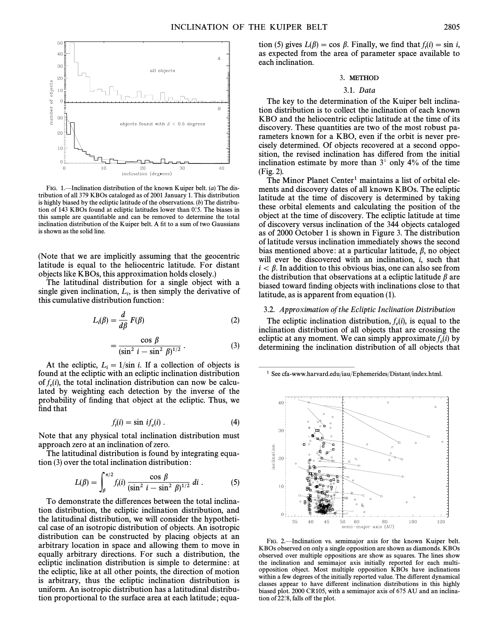

FIG. 1.-Inclination distribution of the known Kuiper belt. (a) The distribution of all 379 KBOs cataloged as of 2001 January 1. This distribution is highly biased by the ecliptic latitude of the observations.  $(b)$  The distribution of 143 KBOs found at ecliptic latitudes lower than  $0°$ .5. The biases in this sample are quantifiable and can be removed to determine the total inclination distribution of the Kuiper belt. A fit to a sum of two Gaussians is shown as the solid line.

(Note that we are implicitly assuming that the geocentric latitude is equal to the heliocentric latitude. For distant objects like KBOs, this approximation holds closely.)

The latitudinal distribution for a single object with a single given inclination,  $L_i$ , is then simply the derivative of this cumulative distribution function: this cumulative distribution function :

$$
L_i(\beta) = \frac{d}{d\beta} F(\beta)
$$
 (2)

$$
= \frac{\cos \beta}{(\sin^2 i - \sin^2 \beta)^{1/2}} \,. \tag{3}
$$

At the ecliptic,  $L_i = 1/\sin i$ . If a collection of objects is<br>und at the ecliptic with an ecliptic inclination distribution found at the ecliptic with an ecliptic inclination distribution of  $f_e(i)$ , the total inclination distribution can now be calcu- $\det_{e}(t)$ , the total membrandon distribution can now be calculated by weighting each detection by the inverse of the probability of finding that object at the ecliptic. Thus, we find that

$$
f_t(i) = \sin \, i f_e(i) \,. \tag{4}
$$

Note that any physical total inclination distribution must approach zero at an inclination of zero.

The latitudinal distribution is found by integrating equa-

tion (3) over the total inclination distribution:  
\n
$$
L(\beta) = \int_{\beta}^{\pi/2} f_i(i) \frac{\cos \beta}{(\sin^2 i - \sin^2 \beta)^{1/2}} di .
$$
\n(5)

To demonstrate the differences between the total inclination distribution, the ecliptic inclination distribution, and the latitudinal distribution, we will consider the hypothetical case of an isotropic distribution of objects. An isotropic distribution can be constructed by placing objects at an arbitrary location in space and allowing them to move in equally arbitrary directions. For such a distribution, the ecliptic inclination distribution is simple to determine: at the ecliptic, like at all other points, the direction of motion is arbitrary, thus the ecliptic inclination distribution is uniform. An isotropic distribution has a latitudinal distribution proportional to the surface area at each latitude ; equa-

tion (5) gives  $L(\beta) = \cos \beta$ . Finally, we find that  $f_t(i) = \sin i$ ,  $\lim_{t \to \infty}$  gives  $\lim_{t \to \infty}$   $\lim_{t \to \infty}$   $\lim_{t \to \infty}$   $\lim_{t \to \infty}$   $\lim_{t \to \infty}$   $\lim_{t \to \infty}$   $\lim_{t \to \infty}$   $\lim_{t \to \infty}$   $\lim_{t \to \infty}$   $\lim_{t \to \infty}$   $\lim_{t \to \infty}$   $\lim_{t \to \infty}$   $\lim_{t \to \infty}$   $\lim_{t \to \infty}$   $\lim_{t \to \infty}$   $\lim_{t \to$ each inclination.

## 3. METHOD

### 3.1. Data

The key to the determination of the Kuiper belt inclination distribution is to collect the inclination of each known KBO and the heliocentric ecliptic latitude at the time of its discovery. These quantities are two of the most robust parameters known for a KBO, even if the orbit is never precisely determined. Of objects recovered at a second opposition, the revised inclination has differed from the initial inclination estimate by more than  $3^\circ$  only  $4\%$  of the time (Fig. 2).

The Minor Planet Center<sup>1</sup> maintains a list of orbital elements and discovery dates of all known KBOs. The ecliptic latitude at the time of discovery is determined by taking these orbital elements and calculating the position of the object at the time of discovery. The ecliptic latitude at time of discovery versus inclination of the 344 objects cataloged as of 2000 October 1 is shown in Figure 3. The distribution of latitude versus inclination immediately shows the second bias mentioned above: at a particular latitude,  $\beta$ , no object will ever be discovered with an inclination, *i*, such that  $i < \beta$ . In addition to this obvious bias, one can also see from the distribution that observations at a ecliptic latitude  $\beta$  are biased toward finding objects with inclinations close to that latitude, as is apparent from equation (1).

## 3.2. Approximation of the Ecliptic Inclination Distribution

The ecliptic inclination distribution,  $f_e(i)$ , is equal to the inclination distribution of all objects that are crossing the ecliptic at any moment. We can simply approximate  $f_e(i)$  by determining the inclination distribution of all objects that

1 See cfa-www.harvard.edu/iau/Ephemerides/Distant/index.html.

ÈÈÈÈÈÈÈÈÈÈÈÈÈÈÈ



FIG. 2.-Inclination vs. semimajor axis for the known Kuiper belt. KBOs observed on only a single opposition are shown as diamonds. KBOs observed over multiple oppositions are show as squares. The lines show the inclination and semimajor axis initially reported for each multiopposition object. Most multiple opposition KBOs have inclinations within a few degrees of the initially reported value. The different dynamical classes appear to have different inclination distributions in this highly biased plot. 2000 CR105, with a semimajor axis of 675 AU and an inclination of  $22$ °.8, falls off the plot.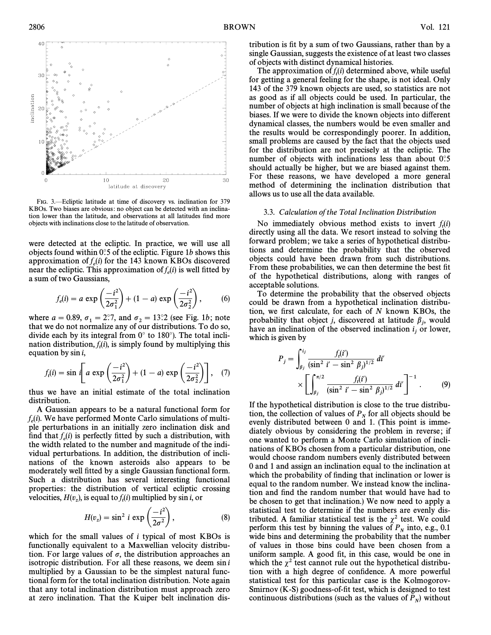

FIG. 3.-Ecliptic latitude at time of discovery vs. inclination for 379 KBOs. Two biases are obvious: no object can be detected with an inclination lower than the latitude, and observations at all latitudes find more objects with inclinations close to the latitude of observation.

were detected at the ecliptic. In practice, we will use all objects found within  $0^\circ$ :5 of the ecliptic. Figure 1b shows this approximation of  $f_e(i)$  for the 143 known KBOs discovered expression of  $f_e(t)$  for the 145 known KDOs discovered<br>near the ecliptic. This approximation of  $f_e(t)$  is well fitted by

a sum of two Gaussians,  

$$
f_e(i) = a \exp\left(\frac{-i^2}{2\sigma_1^2}\right) + (1 - a) \exp\left(\frac{-i^2}{2\sigma_2^2}\right), \qquad (6)
$$

where  $a = 0.89$ ,  $\sigma_1 = 2.7$ , and  $\sigma_2 = 13.2$  (see Fig. 1b; note that we do not normalize any of our distributions. To do so that we do not normalize any of our distributions. To do so, divide each by its integral from  $0^\circ$  to 180°). The total inclination distribution,  $f_i(i)$ , is simply found by multiplying this equation by  $\sin i$ 

equation by sin *i*,  
\n
$$
f_t(i) = \sin i \left[ a \exp \left( \frac{-i^2}{2\sigma_1^2} \right) + (1 - a) \exp \left( \frac{-i^2}{2\sigma_2^2} \right) \right], \quad (7)
$$

thus we have an initial estimate of the total inclination distribution.

A Gaussian appears to be a natural functional form for  $f_e(i)$ . We have performed Monte Carlo simulations of multi-<br>ple perturbations in an initially zero inclination disk and ple perturbations in an initially zero inclination disk and find that  $f_e(i)$  is perfectly fitted by such a distribution, with the width related to the number and magnitude of the individual perturbations. In addition, the distribution of inclinations of the known asteroids also appears to be moderately well fitted by a single Gaussian functional form. Such a distribution has several interesting functional properties: the distribution of vertical ecliptic crossing

velocities, 
$$
H(v_z)
$$
, is equal to  $f_i(i)$  multiplied by sin *i*, or  
\n
$$
H(v_z) = \sin^2 i \exp\left(\frac{-i^2}{2\sigma^2}\right),
$$
\n(8)

which for the small values of  $i$  typical of most KBOs is functionally equivalent to a Maxwellian velocity distribution. For large values of  $\sigma$ , the distribution approaches an isotropic distribution. For all these reasons, we deem  $\sin i$ multiplied by a Gaussian to be the simplest natural functional form for the total inclination distribution. Note again that any total inclination distribution must approach zero at zero inclination. That the Kuiper belt inclination distribution is fit by a sum of two Gaussians, rather than by a single Gaussian, suggests the existence of at least two classes of objects with distinct dynamical histories.

The approximation of  $f_t(i)$  determined above, while useful for getting a general feeling for the shape, is not ideal. Only 143 of the 379 known objects are used, so statistics are not as good as if all objects could be used. In particular, the number of objects at high inclination is small because of the biases. If we were to divide the known objects into different dynamical classes, the numbers would be even smaller and the results would be correspondingly poorer. In addition, small problems are caused by the fact that the objects used for the distribution are not precisely at the ecliptic. The number of objects with inclinations less than about  $0^\circ$ .5 should actually be higher, but we are biased against them. For these reasons, we have developed a more general method of determining the inclination distribution that allows us to use all the data available.

# 3.3. Calculation of the Total Inclination Distribution

No immediately obvious method exists to invert  $f_t(i)$ directly using all the data. We resort instead to solving the forward problem ; we take a series of hypothetical distributions and determine the probability that the observed objects could have been drawn from such distributions. From these probabilities, we can then determine the best fit of the hypothetical distributions, along with ranges of acceptable solutions.

To determine the probability that the observed objects could be drawn from a hypothetical inclination distribution, we first calculate, for each of  $N$  known KBOs, the probability that object *j*, discovered at latitude  $\beta_i$ , would have an inclination of the observed inclination  $i_j$  or lower,<br>have an inclination of the observed inclination  $i_j$  or lower, which is given by

$$
P_j = \int_{\beta_j}^{i_j} \frac{f_i(i')}{(\sin^2 i' - \sin^2 \beta_j)^{1/2}} \, di' \\
\times \left[ \int_{\beta_j}^{\pi/2} \frac{f_i(i')}{(\sin^2 i' - \sin^2 \beta_j)^{1/2}} \, di' \right]^{-1} . \tag{9}
$$

If the hypothetical distribution is close to the true distribution, the collection of values of  $P<sub>N</sub>$  for all objects should be evenly distributed between 0 and 1. (This point is immediately obvious by considering the problem in reverse; if one wanted to perform a Monte Carlo simulation of inclinations of KBOs chosen from a particular distribution, one would choose random numbers evenly distributed between 0 and 1 and assign an inclination equal to the inclination at which the probability of finding that inclination or lower is equal to the random number. We instead know the inclination and find the random number that would have had to be chosen to get that inclination.) We now need to apply a statistical test to determine if the numbers are evenly distributed. A familiar statistical test is the  $\chi^2$  test. We could perform this test by binning the values of  $P<sub>N</sub>$  into, e.g., 0.1 wide bins and determining the probability that the number of values in those bins could have been chosen from a uniform sample. A good fit, in this case, would be one in which the  $\chi^2$  test cannot rule out the hypothetical distribution with a high degree of confidence. A more powerful statistical test for this particular case is the Kolmogorov-Smirnov  $(K-S)$  goodness-of-fit test, which is designed to test continuous distributions (such as the values of  $P_N$ ) without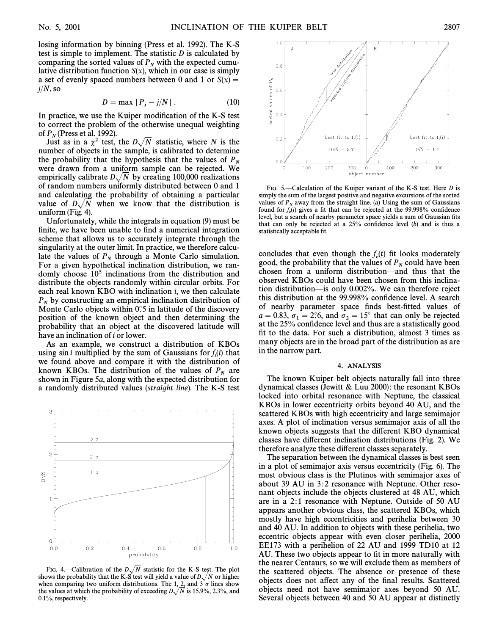losing information by binning (Press et al. 1992). The K-S test is simple to implement. The statistic  $D$  is calculated by comparing the sorted values of  $P_N$  with the expected cumu-<br>lative distribution function  $S(x)$ , which in our case is simply a set of evenly spaced numbers between 0 and 1 or  $S(x) =$  $j/N$ , so

$$
D = \max |P_j - j/N|.
$$
 (10)

In practice, we use the Kuiper modification of the K-S test to correct the problem of the otherwise unequal weighting

of  $P_N$  (Press et al. 1992).<br>Just as in a  $\chi^2$  test, the  $D\sqrt{N}$  statistic, where N is the number of objects in the sample, is calibrated to determine the probability that the hypothesis that the values of  $P<sub>N</sub>$  were drawn from a uniform sample can be rejected. We empirically calibrate  $D\sqrt{N}$  by creating 100,000 realizations of random numbers uniformly distributed between 0 and 1 and calculating the probability of obtaining a particular value of  $D\sqrt{N}$  when we know that the distribution is uniform (Fig. 4).

Unfortunately, while the integrals in equation (9) must be finite, we have been unable to find a numerical integration scheme that allows us to accurately integrate through the singularity at the outer limit. In practice, we therefore calculate the values of  $P_N$  through a Monte Carlo simulation. For a given hypothetical inclination distribution, we randomly choose  $10<sup>5</sup>$  inclinations from the distribution and distribute the objects randomly within circular orbits. For each real known KBO with inclination  $i$ , we then calculate  $P_N$  by constructing an empirical inclination distribution of Monte Carlo objects within 0°.5 in latitude of the discovery position of the known object and then determining the probability that an object at the discovered latitude will have an inclination of i or lower.

As an example, we construct a distribution of KBOs using sin *i* multiplied by the sum of Gaussians for  $f_i(i)$  that we found above and compare it with the distribution of known KBOs. The distribution of the values of  $P_N$  are shown in Figure 5a, along with the expected distribution for a randomly distributed values (straight line). The K-S test



FIG. 4.—Calibration of the  $D\sqrt{N}$  statistic for the K-S test. The plot shows the probability that the K-S test will yield a value of  $D\sqrt{N}$  or higher when comparing two uniform distributions. The 1,  $\overline{2}$ , and 3  $\sigma$  lines show the values at which the probability of exceeding  $D\sqrt{N}$  is 15.9%, 2.3%, and 0.1%, respectively.



FIG. 5.—Calculation of the Kuiper variant of the K-S test. Here  $D$  is simply the sum of the largest positive and negative excursions of the sorted values of  $P_N$  away from the straight line. (*a*) Using the sum of Gaussians level, but a search of nearby parameter space yields a sum of Gaussian fits found for  $f_e(i)$  gives a fit that can be rejected at the 99.998% confidence that can only be rejected at a  $25%$  confidence level (b) and is thus a statistically acceptable fit.

concludes that even though the  $f_e(t)$  fit looks moderately good, the probability that the values of  $P_N$  could have been chosen from a uniform distribution—and thus that the observed KBOs could have been chosen from this inclination distribution—is only 0.002%. We can therefore reject this distribution at the 99.998% confidence level. A search of nearby parameter space finds best-fitted values of  $a = 0.83$ ,  $\sigma_1 = 2^\circ 6$ , and  $\sigma_2 = 15^\circ$  that can only be rejected<br>at the 25% confidence level and thus are a statistically good at the 25% confidence level and thus are a statistically good fit to the data. For such a distribution, almost 3 times as many objects are in the broad part of the distribution as are in the narrow part.

#### 4. ANALYSIS

The known Kuiper belt objects naturally fall into three dynamical classes (Jewitt & Luu 2000) : the resonant KBOs locked into orbital resonance with Neptune, the classical KBOs in lower eccentricity orbits beyond 40 AU, and the scattered KBOs with high eccentricity and large semimajor axes. A plot of inclination versus semimajor axis of all the known objects suggests that the di†erent KBO dynamical classes have di†erent inclination distributions (Fig. 2). We therefore analyze these di†erent classes separately.

The separation between the dynamical classes is best seen in a plot of semimajor axis versus eccentricity (Fig. 6). The most obvious class is the Plutinos with semimajor axes of about 39 AU in 3:2 resonance with Neptune. Other resonant objects include the objects clustered at 48 AU, which are in a 2:1 resonance with Neptune. Outside of 50 AU appears another obvious class, the scattered KBOs, which mostly have high eccentricities and perihelia between 30 and 40 AU. In addition to objects with these perihelia, two eccentric objects appear with even closer perihelia, 2000 EE173 with a perihelion of 22 AU and 1999 TD10 at 12 AU. These two objects appear to fit in more naturally with the nearer Centaurs, so we will exclude them as members of the scattered objects. The absence or presence of these objects does not affect any of the final results. Scattered objects need not have semimajor axes beyond 50 AU. Several objects between 40 and 50 AU appear at distinctly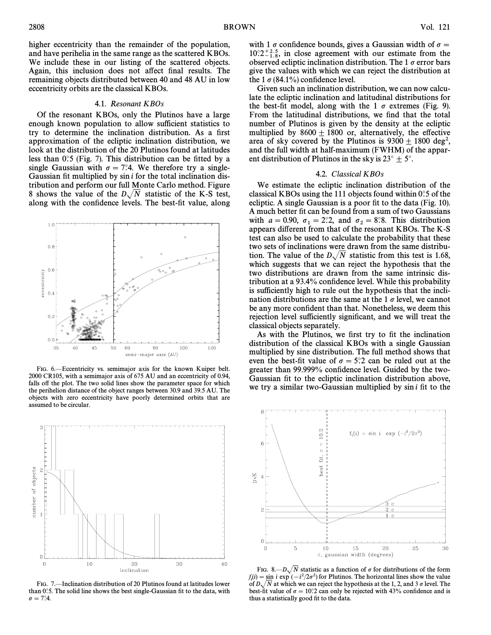$1.0$ 

 $0.8$ 

 $0.6$ eccentricity  $0.4$ 

 $0.5$ 

 $0.0$ 

35

higher eccentricity than the remainder of the population, and have perihelia in the same range as the scattered KBOs. We include these in our listing of the scattered objects. Again, this inclusion does not affect final results. The remaining objects distributed between 40 and 48 AU in low eccentricity orbits are the classical KBOs.

#### 4.1. Resonant KBOs

Of the resonant KBOs, only the Plutinos have a large enough known population to allow sufficient statistics to try to determine the inclination distribution. As a first approximation of the ecliptic inclination distribution, we look at the distribution of the 20 Plutinos found at latitudes less than  $0^\circ$ 5 (Fig. 7). This distribution can be fitted by a single Gaussian with  $\sigma = 7$ °.4. We therefore try a single-Gaussian fit multiplied by  $sin i$  for the total inclination distribution and perform our full Monte Carlo method. Figure 8 shows the value of the  $D\sqrt{N}$  statistic of the K-S test, along with the confidence levels. The best-fit value, along



80

semi-major axis (AU)

100

120

50 60



FIG. 7. – Inclination distribution of 20 Plutinos found at latitudes lower than  $0°$ .5. The solid line shows the best single-Gaussian fit to the data, with  $\sigma = 7.4.$ 

with 1  $\sigma$  confidence bounds, gives a Gaussian width of  $\sigma =$  $10^{\circ}2^{+2.5}_{-1.8}$ , in close agreement with our estimate from the observed ecliptic inclination distribution. The 1  $\sigma$  error bars give the values with which we can reject the distribution at the 1  $\sigma$  (84.1%) confidence level.

Given such an inclination distribution, we can now calculate the ecliptic inclination and latitudinal distributions for the best-fit model, along with the 1  $\sigma$  extremes (Fig. 9). From the latitudinal distributions, we find that the total number of Plutinos is given by the density at the ecliptic multiplied by  $8600 \pm 1800$  or, alternatively, the effective area of sky covered by the Plutinos is  $9300 \pm 1800$  deg<sup>2</sup>, and the full width at half-maximum (FWHM) of the apparent distribution of Plutinos in the sky is  $23^{\circ} \pm 5^{\circ}$ .

### 4.2. Classical KBOs

We estimate the ecliptic inclination distribution of the classical KBOs using the 111 objects found within  $0^\circ$ .5 of the ecliptic. A single Gaussian is a poor fit to the data (Fig.  $10$ ). A much better fit can be found from a sum of two Gaussians with  $a = 0.90$ ,  $\sigma_1 = 2.2$ , and  $\sigma_2 = 8.8$ . This distribution papears different from that of the resonant KBOs. The K-S appears different from that of the resonant KBOs. The K-S test can also be used to calculate the probability that these two sets of inclinations were drawn from the same distribution. The value of the  $D\sqrt{N}$  statistic from this test is 1.68, which suggests that we can reject the hypothesis that the two distributions are drawn from the same intrinsic distribution at a 93.4% confidence level. While this probability is sufficiently high to rule out the hypothesis that the inclination distributions are the same at the 1  $\sigma$  level, we cannot be any more confident than that. Nonetheless, we deem this rejection level sufficiently significant, and we will treat the classical objects separately.

As with the Plutinos, we first try to fit the inclination distribution of the classical KBOs with a single Gaussian multiplied by sine distribution. The full method shows that even the best-fit value of  $\sigma = 5$ °.2 can be ruled out at the greater than 99.999% confidence level. Guided by the two-Gaussian fit to the ecliptic inclination distribution above, we try a similar two-Gaussian multiplied by  $\sin i$  fit to the

10.2  $f_t(i) = \sin i \exp(-i^2/2\sigma^2)$ 6  $\circ$ fit, best DУÑ  $\Omega$  $\mathbf 0$ 5  $10$ 15 20 25 30 σ, gaussian width (degrees)

FIG. 8. $-D\sqrt{N}$  statistic as a function of  $\sigma$  for distributions of the form  $f_i(i) = \sin i \exp (-i^2/2\sigma^2)$  for Plutinos. The horizontal lines show the value of  $D$ ,  $\overline{N}$  at which we can reject the hypothesis at the 1,2, and 3.5 level. The of  $D\sqrt{N}$  at which we can reject the hypothesis at the 1, 2, and 3  $\sigma$  level. The best-fit value of  $\sigma = 10^{\circ}$ ? can only be rejected with 43% confidence and is thus a statistically good fit to the data.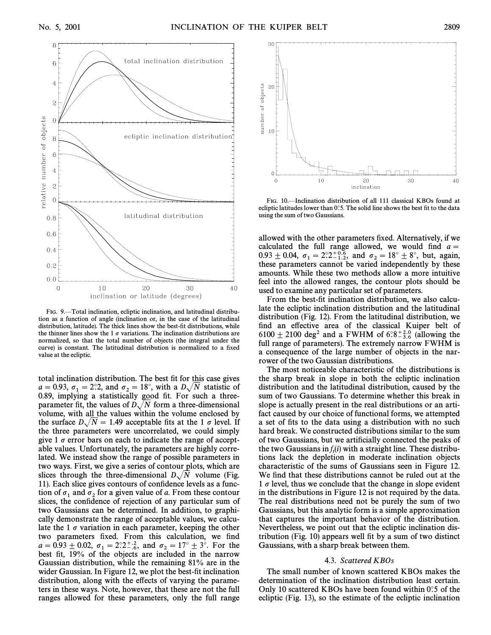

FIG. 9.—Total inclination, ecliptic inclination, and latitudinal distribution as a function of angle (inclination or, in the case of the latitudinal distribution, latitude). The thick lines show the best-fit distributions, while the thinner lines show the 1  $\sigma$  variations. The inclination distributions are normalized, so that the total number of objects (the integral under the curve) is constant. The latitudinal distribution is normalized to a fixed value at the ecliptic.

total inclination distribution. The best fit for this case gives  $a = 0.93$ ,  $\sigma_1 = 2.2$ , and  $\sigma_2 = 18^\circ$ , with a  $D\sqrt{N}$  statistic of p set p p p statistic of p s a statistic of p s a statistic of p s a statistically good fit. For such a three 0.89, implying a statistically good fit. For such a threeparameter fit, the values of  $D\sqrt{N}$  form a three-dimensional volume, with all the values within the volume enclosed by the surface  $D\sqrt{N} = 1.49$  acceptable fits at the 1  $\sigma$  level. If the three parameters were uncorrelated, we could simply give 1  $\sigma$  error bars on each to indicate the range of acceptable values. Unfortunately, the parameters are highly correlated. We instead show the range of possible parameters in two ways. First, we give a series of contour plots, which are slices through the three-dimensional  $D\sqrt{N}$  volume (Fig. 11). Each slice gives contours of confidence levels as a function of  $\sigma_1$  and  $\sigma_2$  for a given value of a. From these contour slices, the confidence of rejection of any particular sum of two Gaussians can be determined. In addition, to graphically demonstrate the range of acceptable values, we calculate the 1  $\sigma$  variation in each parameter, keeping the other two parameters fixed. From this calculation, we find  $a = 0.93 \pm 0.02$ ,  $\sigma_1 = 2.2^{+.2}_{-.6}$ , and  $\sigma_2 = 17^\circ \pm 3^\circ$ . For the part of the phierics are included in the part of best fit, 19% of the objects are included in the narrow Gaussian distribution, while the remaining 81% are in the wider Gaussian. In Figure 12, we plot the best-fit inclination distribution, along with the effects of varying the parameters in these ways. Note, however, that these are not the full ranges allowed for these parameters, only the full range



FIG. 10.-Inclination distribution of all 111 classical KBOs found at ecliptic latitudes lower than  $0^\circ$ .5. The solid line shows the best fit to the data using the sum of two Gaussians.

allowed with the other parameters fixed. Alternatively, if we calculated the full range allowed, we would find  $a =$  $0.93 \pm 0.04$ ,  $\sigma_1 = 2.2^{+0.6}_{-1.2}$ , and  $\sigma_2 = 18^\circ \pm 8^\circ$ , but, again, these parameters cannot be varied independently by these these parameters cannot be varied independently by these amounts. While these two methods allow a more intuitive feel into the allowed ranges, the contour plots should be used to examine any particular set of parameters.

From the best-fit inclination distribution, we also calculate the ecliptic inclination distribution and the latitudinal distribution (Fig. 12). From the latitudinal distribution, we find an effective area of the classical Kuiper belt of 6100  $\pm$  2100 deg<sup>2</sup> and a FWHM of 6°.8<sup>+2.0</sup> (allowing the full range of parameters). The extremely narrow FWHM is a consequence of the large number of objects in the narrower of the two Gaussian distributions.

The most noticeable characteristic of the distributions is the sharp break in slope in both the ecliptic inclination distribution and the latitudinal distribution, caused by the sum of two Gaussians. To determine whether this break in slope is actually present in the real distributions or an artifact caused by our choice of functional forms, we attempted a set of fits to the data using a distribution with no such hard break. We constructed distributions similar to the sum of two Gaussians, but we artificially connected the peaks of the two Gaussians in  $f_i(i)$  with a straight line. These distributhe two Sulassians  $m_{f_1(t)}$  with a straight line. These districts tions lack the depletion in moderate inclination objects characteristic of the sums of Gaussians seen in Figure 12. We find that these distributions cannot be ruled out at the 1  $\sigma$  level, thus we conclude that the change in slope evident in the distributions in Figure 12 is not required by the data. The real distributions need not be purely the sum of two Gaussians, but this analytic form is a simple approximation that captures the important behavior of the distribution. Nevertheless, we point out that the ecliptic inclination distribution (Fig. 10) appears well fit by a sum of two distinct Gaussians, with a sharp break between them.

#### 4.3. Scattered KBOs

The small number of known scattered KBOs makes the determination of the inclination distribution least certain. Only 10 scattered KBOs have been found within  $0^\circ$  of the ecliptic (Fig. 13), so the estimate of the ecliptic inclination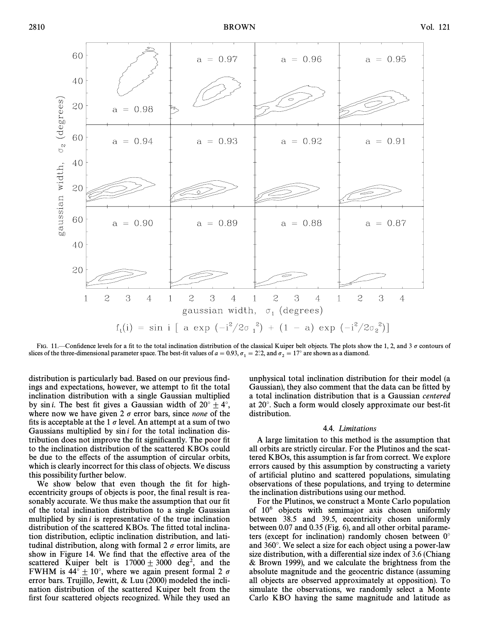

FIG. 11.—Confidence levels for a fit to the total inclination distribution of the classical Kuiper belt objects. The plots show the 1, 2, and 3  $\sigma$  contours of slices of the three-dimensional parameter space. The best-fit values of  $a = 0.93$ ,  $\sigma_1 = 2^\circ 2$ , and  $\sigma_2 = 17^\circ$  are shown as a diamond.

distribution is particularly bad. Based on our previous findings and expectations, however, we attempt to fit the total inclination distribution with a single Gaussian multiplied by sin *i*. The best fit gives a Gaussian width of  $20^{\circ} \pm 4^{\circ}$ , where now we have given 2  $\sigma$  error bars, since *none* of the fits is acceptable at the 1  $\sigma$  level. An attempt at a sum of two Gaussians multiplied by  $\sin i$  for the total inclination distribution does not improve the fit significantly. The poor fit to the inclination distribution of the scattered KBOs could be due to the effects of the assumption of circular orbits, which is clearly incorrect for this class of objects. We discuss this possibility further below.

We show below that even though the fit for higheccentricity groups of objects is poor, the final result is reasonably accurate. We thus make the assumption that our fit of the total inclination distribution to a single Gaussian multiplied by  $\sin i$  is representative of the true inclination distribution of the scattered KBOs. The fitted total inclination distribution, ecliptic inclination distribution, and latitudinal distribution, along with formal  $2 \sigma$  error limits, are show in Figure 14. We find that the effective area of the scattered Kuiper belt is  $17000 \pm 3000$  deg<sup>2</sup>, and the FWHM is  $44^{\circ} \pm 10^{\circ}$ , where we again present formal 2  $\sigma$ error bars. Trujillo, Jewitt, & Luu (2000) modeled the inclination distribution of the scattered Kuiper belt from the first four scattered objects recognized. While they used an

unphysical total inclination distribution for their model (a Gaussian), they also comment that the data can be fitted by a total inclination distribution that is a Gaussian centered at  $20^\circ$ . Such a form would closely approximate our best-fit distribution.

## 4.4. Limitations

A large limitation to this method is the assumption that all orbits are strictly circular. For the Plutinos and the scattered KBOs, this assumption is far from correct. We explore errors caused by this assumption by constructing a variety of artificial plutino and scattered populations, simulating observations of these populations, and trying to determine the inclination distributions using our method.

For the Plutinos, we construct a Monte Carlo population of  $10^6$  objects with semimajor axis chosen uniformly between 38.5 and 39.5, eccentricity chosen uniformly between 0.07 and 0.35 (Fig. 6), and all other orbital parameters (except for inclination) randomly chosen between  $0^{\circ}$ and 360¡. We select a size for each object using a power-law size distribution, with a differential size index of 3.6 (Chiang & Brown 1999), and we calculate the brightness from the absolute magnitude and the geocentric distance (assuming all objects are observed approximately at opposition). To simulate the observations, we randomly select a Monte Carlo KBO having the same magnitude and latitude as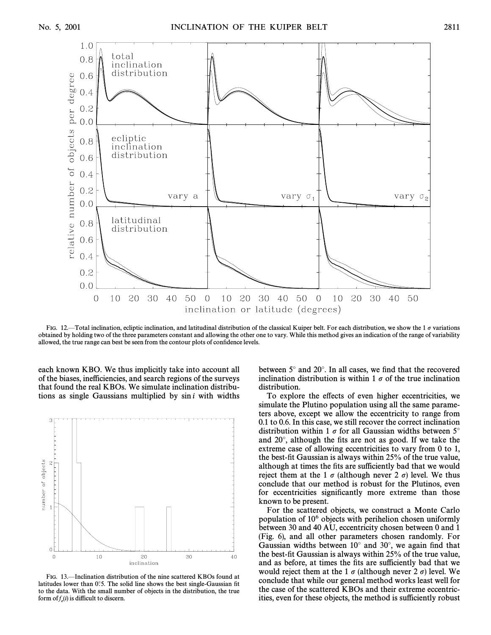1.0

 $0.8$ 

 $0.6$ 

 $0.4$ 

 $0.2$  $0.0$ 

 $0.8$ 

 $0.6$ 

 $0.4$  $0.2$ 

 $0.0$ 

 $0.8$ 



relative number of objects per degree  $0.6$  $0.4$  $0.2$  $0.0$  $\overline{O}$ 10 20 30 40 50  $\overline{0}$ 20 20 30 50 10 30  $\overline{0}$ 10 40 40 50 inclination or latitude (degrees)

FIG. 12—Total inclination, ecliptic inclination, and latitudinal distribution of the classical Kuiper belt. For each distribution, we show the 1  $\sigma$  variations obtained by holding two of the three parameters constant and allowing the other one to vary. While this method gives an indication of the range of variability allowed, the true range can best be seen from the contour plots of confidence levels.

each known KBO. We thus implicitly take into account all of the biases, inefficiencies, and search regions of the surveys that found the real KBOs. We simulate inclination distributions as single Gaussians multiplied by  $sin i$  with widths



FIG. 13.—Inclination distribution of the nine scattered KBOs found at latitudes lower than  $0^\circ$ .5. The solid line shows the best single-Gaussian fit to the data. With the small number of objects in the distribution, the true form of  $f_e(i)$  is difficult to discern.

between  $5^\circ$  and  $20^\circ$ . In all cases, we find that the recovered inclination distribution is within 1  $\sigma$  of the true inclination distribution.

To explore the effects of even higher eccentricities, we simulate the Plutino population using all the same parameters above, except we allow the eccentricity to range from 0.1 to 0.6. In this case, we still recover the correct inclination distribution within 1  $\sigma$  for all Gaussian widths between 5° and  $20^{\circ}$ , although the fits are not as good. If we take the extreme case of allowing eccentricities to vary from 0 to 1, the best-fit Gaussian is always within 25% of the true value, although at times the fits are sufficiently bad that we would reject them at the 1  $\sigma$  (although never 2  $\sigma$ ) level. We thus conclude that our method is robust for the Plutinos, even for eccentricities significantly more extreme than those known to be present.

For the scattered objects, we construct a Monte Carlo population of 106 objects with perihelion chosen uniformly between 30 and 40 AU, eccentricity chosen between 0 and 1 (Fig. 6), and all other parameters chosen randomly. For Gaussian widths between  $10^{\circ}$  and  $30^{\circ}$ , we again find that the best-fit Gaussian is always within 25% of the true value, and as before, at times the fits are sufficiently bad that we would reject them at the 1  $\sigma$  (although never 2  $\sigma$ ) level. We conclude that while our general method works least well for the case of the scattered KBOs and their extreme eccentricities, even for these objects, the method is sufficiently robust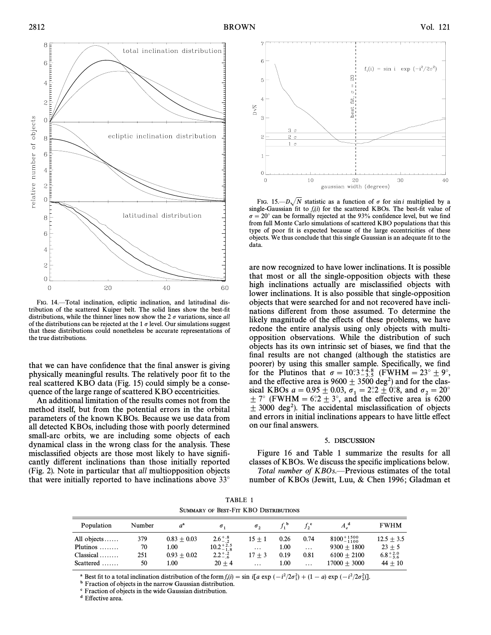

FIG. 14. Total inclination, ecliptic inclination, and latitudinal distribution of the scattered Kuiper belt. The solid lines show the best-fit distributions, while the thinner lines now show the 2  $\sigma$  variations, since all of the distributions can be rejected at the 1  $\sigma$  level. Our simulations suggest that these distributions could nonetheless be accurate representations of the true distributions.

that we can have confidence that the final answer is giving physically meaningful results. The relatively poor fit to the real scattered KBO data (Fig. 15) could simply be a consequence of the large range of scattered KBO eccentricities.

An additional limitation of the results comes not from the method itself, but from the potential errors in the orbital parameters of the known KBOs. Because we use data from all detected KBOs, including those with poorly determined small-arc orbits, we are including some objects of each dynamical class in the wrong class for the analysis. These misclassified objects are those most likely to have significantly different inclinations than those initially reported (Fig. 2). Note in particular that all multiopposition objects that were initially reported to have inclinations above  $33^{\circ}$ 



FIG. 15.— $D\sqrt{N}$  statistic as a function of  $\sigma$  for sin i multiplied by a single-Gaussian fit to  $f_i(i)$  for the scattered KBOs. The best-fit value of  $\sigma = 20^\circ$  can be formally rejected at the 93% confidence level, but we find from full Monte Carlo simulations of scattered KBO populations that this type of poor fit is expected because of the large eccentricities of these objects. We thus conclude that this single Gaussian is an adequate fit to the data.

are now recognized to have lower inclinations. It is possible that most or all the single-opposition objects with these high inclinations actually are misclassified objects with lower inclinations. It is also possible that single-opposition objects that were searched for and not recovered have inclinations different from those assumed. To determine the likely magnitude of the effects of these problems, we have redone the entire analysis using only objects with multiopposition observations. While the distribution of such objects has its own intrinsic set of biases, we find that the final results are not changed (although the statistics are poorer) by using this smaller sample. Specifically, we find for the Plutinos that  $\sigma = 10^{\circ}3^{+4.8}_{-3.5}$  (FWHM = 23°  $\pm$  9°, and the effective area is  $9600 \pm 3500$  deg<sup>2</sup>) and for the classical KBOs  $a = 0.95 \pm 0.03$ ,  $\sigma_1 = 2.2 \pm 0.8$ , and  $\sigma_2 = 20^\circ$ <br>+  $7^\circ$  (EWHM –  $6^\circ 7 + 3^\circ$  and the effective area is 6200  $\pm$  7° (FWHM = 6°2  $\pm$  3°, and the effective area is 6200  $\pm$  3000 deg<sup>2</sup>). The accidental misclassification of objects and errors in initial inclinations appears to have little effect on our final answers.

## 5. DISCUSSION

Figure 16 and Table 1 summarize the results for all classes of KBOs. We discuss the specific implications below. Total number of  $KBOs.$ —Previous estimates of the total

number of KBOs (Jewitt, Luu, & Chen 1996; Gladman et

TABLE 1 SUMMARY OF BEST-FIT KBO DISTRIBUTIONS

| Population       | Number | $a^{\circ}$   | σ.                   | $\sigma_{\gamma}$ |      |          | $A_{\cdot}^{\mathfrak{a}}$ | <b>FWHM</b>         |
|------------------|--------|---------------|----------------------|-------------------|------|----------|----------------------------|---------------------|
| All objects      | 379    | $0.83 + 0.03$ | $2.6^{+.8}_{-.2}$    | $15 + 1$          | 0.26 | 0.74     | $8100^{+1500}_{-1100}$     | $12.5 + 3.5$        |
| Plutinos $\dots$ | 70     | 1.00          | $10.2^{+2.5}_{-1.8}$ | $\cdots$          | 1.00 | $\cdots$ | $9300 + 1800$              | $23 + 5$            |
| $Classical$      | 251    | $0.93 + 0.02$ | $2.2^{+.2}_{-.6}$    | $17 + 3$          | 0.19 | 0.81     | $6100 + 2100$              | $6.8^{+2.0}_{-3.6}$ |
| $Scattered$      | 50     | 1.00          | $20 + 4$             | $\cdots$          | 1.00 | $\cdots$ | $17000 + 3000$             | $44 + 10$           |

<sup>a</sup> Best fit to a total inclination distribution of the form  $f_i(i) = \sin i[a \exp (-i^2/2\sigma_1^2) + (1-a) \exp (-i^2/2\sigma_2^2)].$ 

best in the a total membrand distribution of the form  $f_t(t)$ 

c Fraction of objects in the wide Gaussian distribution.

<sup>d</sup> Effective area.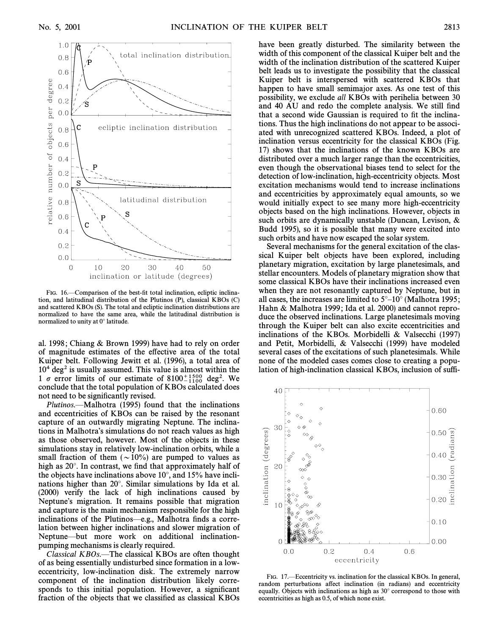

FIG. 16.—Comparison of the best-fit total inclination, ecliptic inclination, and latitudinal distribution of the Plutinos (P), classical KBOs (C) and scattered KBOs (S). The total and ecliptic inclination distributions are normalized to have the same area, while the latitudinal distribution is normalized to unity at 0° latitude.

al. 1998; Chiang & Brown 1999) have had to rely on order of magnitude estimates of the e†ective area of the total Kuiper belt. Following Jewitt et al. (1996), a total area of  $10<sup>4</sup>$  deg<sup>2</sup> is usually assumed. This value is almost within the 1  $\sigma$  error limits of our estimate of 8100 $^{+1500}_{-1100}$  deg<sup>2</sup>. We conclude that the total population of KBOs calculated does not need to be significantly revised.

Plutinos.—Malhotra (1995) found that the inclinations and eccentricities of KBOs can be raised by the resonant capture of an outwardly migrating Neptune. The inclinations in Malhotra's simulations do not reach values as high as those observed, however. Most of the objects in these simulations stay in relatively low-inclination orbits, while a small fraction of them  $({\sim}10\%)$  are pumped to values as high as  $20^\circ$ . In contrast, we find that approximately half of the objects have inclinations above  $10^{\circ}$ , and  $15\%$  have inclinations higher than  $20^{\circ}$ . Similar simulations by Ida et al. (2000) verify the lack of high inclinations caused by Neptune's migration. It remains possible that migration and capture is the main mechanism responsible for the high inclinations of the Plutinos—e.g., Malhotra finds a correlation between higher inclinations and slower migration of Neptune—but more work on additional inclinationpumping mechanisms is clearly required.

 $Classical KBOs.$ —The classical KBOs are often thought of as being essentially undisturbed since formation in a loweccentricity, low-inclination disk. The extremely narrow component of the inclination distribution likely corresponds to this initial population. However, a significant fraction of the objects that we classified as classical KBOs have been greatly disturbed. The similarity between the width of this component of the classical Kuiper belt and the width of the inclination distribution of the scattered Kuiper belt leads us to investigate the possibility that the classical Kuiper belt is interspersed with scattered KBOs that happen to have small semimajor axes. As one test of this possibility, we exclude all KBOs with perihelia between 30 and 40 AU and redo the complete analysis. We still find that a second wide Gaussian is required to fit the inclinations. Thus the high inclinations do not appear to be associated with unrecognized scattered KBOs. Indeed, a plot of inclination versus eccentricity for the classical KBOs (Fig. 17) shows that the inclinations of the known KBOs are distributed over a much larger range than the eccentricities, even though the observational biases tend to select for the detection of low-inclination, high-eccentricity objects. Most excitation mechanisms would tend to increase inclinations and eccentricities by approximately equal amounts, so we would initially expect to see many more high-eccentricity objects based on the high inclinations. However, objects in such orbits are dynamically unstable (Duncan, Levison, & Budd 1995), so it is possible that many were excited into such orbits and have now escaped the solar system.

Several mechanisms for the general excitation of the classical Kuiper belt objects have been explored, including planetary migration, excitation by large planetesimals, and stellar encounters. Models of planetary migration show that some classical KBOs have their inclinations increased even when they are not resonantly captured by Neptune, but in all cases, the increases are limited to  $5^{\circ}-10^{\circ}$  (Malhotra 1995; Hahn & Malhotra 1999; Ida et al. 2000) and cannot reproduce the observed inclinations. Large planetesimals moving through the Kuiper belt can also excite eccentricities and inclinations of the KBOs. Morbidelli & Valsecchi (1997) and Petit, Morbidelli, & Valsecchi (1999) have modeled several cases of the excitations of such planetesimals. While none of the modeled cases comes close to creating a population of high-inclination classical KBOs, inclusion of suffi-



FIG. 17.—Eccentricity vs. inclination for the classical KBOs. In general, random perturbations affect inclination (in radians) and eccentricity equally. Objects with inclinations as high as  $30^\circ$  correspond to those with eccentricities as high as 0.5, of which none exist.